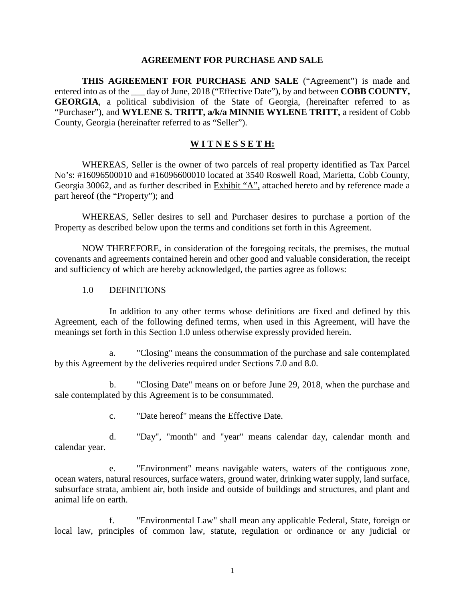#### **AGREEMENT FOR PURCHASE AND SALE**

**THIS AGREEMENT FOR PURCHASE AND SALE** ("Agreement") is made and entered into as of the \_\_\_ day of June, 2018 ("Effective Date"), by and between **COBB COUNTY, GEORGIA**, a political subdivision of the State of Georgia, (hereinafter referred to as "Purchaser"), and **WYLENE S. TRITT, a/k/a MINNIE WYLENE TRITT,** a resident of Cobb County, Georgia (hereinafter referred to as "Seller").

### **W I T N E S S E T H:**

WHEREAS, Seller is the owner of two parcels of real property identified as Tax Parcel No's: #16096500010 and #16096600010 located at 3540 Roswell Road, Marietta, Cobb County, Georgia 30062, and as further described in Exhibit "A", attached hereto and by reference made a part hereof (the "Property"); and

WHEREAS, Seller desires to sell and Purchaser desires to purchase a portion of the Property as described below upon the terms and conditions set forth in this Agreement.

NOW THEREFORE, in consideration of the foregoing recitals, the premises, the mutual covenants and agreements contained herein and other good and valuable consideration, the receipt and sufficiency of which are hereby acknowledged, the parties agree as follows:

#### 1.0 DEFINITIONS

In addition to any other terms whose definitions are fixed and defined by this Agreement, each of the following defined terms, when used in this Agreement, will have the meanings set forth in this Section 1.0 unless otherwise expressly provided herein.

a. "Closing" means the consummation of the purchase and sale contemplated by this Agreement by the deliveries required under Sections 7.0 and 8.0.

b. "Closing Date" means on or before June 29, 2018, when the purchase and sale contemplated by this Agreement is to be consummated.

c. "Date hereof" means the Effective Date.

d. "Day", "month" and "year" means calendar day, calendar month and calendar year.

e. "Environment" means navigable waters, waters of the contiguous zone, ocean waters, natural resources, surface waters, ground water, drinking water supply, land surface, subsurface strata, ambient air, both inside and outside of buildings and structures, and plant and animal life on earth.

f. "Environmental Law" shall mean any applicable Federal, State, foreign or local law, principles of common law, statute, regulation or ordinance or any judicial or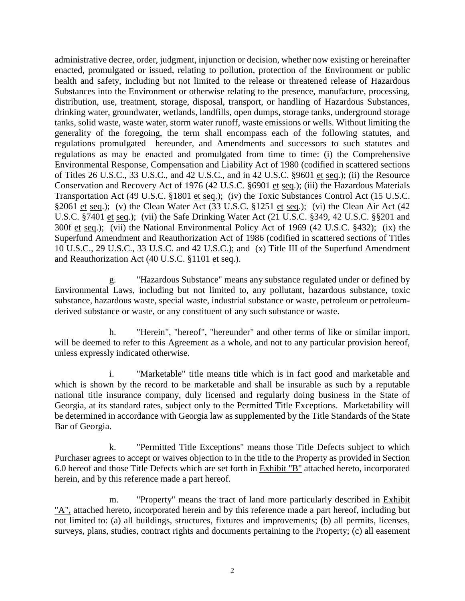administrative decree, order, judgment, injunction or decision, whether now existing or hereinafter enacted, promulgated or issued, relating to pollution, protection of the Environment or public health and safety, including but not limited to the release or threatened release of Hazardous Substances into the Environment or otherwise relating to the presence, manufacture, processing, distribution, use, treatment, storage, disposal, transport, or handling of Hazardous Substances, drinking water, groundwater, wetlands, landfills, open dumps, storage tanks, underground storage tanks, solid waste, waste water, storm water runoff, waste emissions or wells. Without limiting the generality of the foregoing, the term shall encompass each of the following statutes, and regulations promulgated hereunder, and Amendments and successors to such statutes and regulations as may be enacted and promulgated from time to time: (i) the Comprehensive Environmental Response, Compensation and Liability Act of 1980 (codified in scattered sections of Titles 26 U.S.C., 33 U.S.C., and 42 U.S.C., and in 42 U.S.C. §9601 et seq.); (ii) the Resource Conservation and Recovery Act of 1976 (42 U.S.C. §6901 et seq.); (iii) the Hazardous Materials Transportation Act (49 U.S.C. §1801 et seq.); (iv) the Toxic Substances Control Act (15 U.S.C. §2061 et seq.); (v) the Clean Water Act (33 U.S.C. §1251 et seq.); (vi) the Clean Air Act (42 U.S.C. §7401 et seq.); (vii) the Safe Drinking Water Act (21 U.S.C. §349, 42 U.S.C. §§201 and 300f et seq.); (vii) the National Environmental Policy Act of 1969 (42 U.S.C. §432); (ix) the Superfund Amendment and Reauthorization Act of 1986 (codified in scattered sections of Titles 10 U.S.C., 29 U.S.C., 33 U.S.C. and 42 U.S.C.); and (x) Title III of the Superfund Amendment and Reauthorization Act (40 U.S.C. §1101 et seq.).

g. "Hazardous Substance" means any substance regulated under or defined by Environmental Laws, including but not limited to, any pollutant, hazardous substance, toxic substance, hazardous waste, special waste, industrial substance or waste, petroleum or petroleumderived substance or waste, or any constituent of any such substance or waste.

h. "Herein", "hereof", "hereunder" and other terms of like or similar import, will be deemed to refer to this Agreement as a whole, and not to any particular provision hereof, unless expressly indicated otherwise.

i. "Marketable" title means title which is in fact good and marketable and which is shown by the record to be marketable and shall be insurable as such by a reputable national title insurance company, duly licensed and regularly doing business in the State of Georgia, at its standard rates, subject only to the Permitted Title Exceptions. Marketability will be determined in accordance with Georgia law as supplemented by the Title Standards of the State Bar of Georgia.

k. "Permitted Title Exceptions" means those Title Defects subject to which Purchaser agrees to accept or waives objection to in the title to the Property as provided in Section 6.0 hereof and those Title Defects which are set forth in Exhibit "B" attached hereto, incorporated herein, and by this reference made a part hereof.

m. "Property" means the tract of land more particularly described in Exhibit "A", attached hereto, incorporated herein and by this reference made a part hereof, including but not limited to: (a) all buildings, structures, fixtures and improvements; (b) all permits, licenses, surveys, plans, studies, contract rights and documents pertaining to the Property; (c) all easement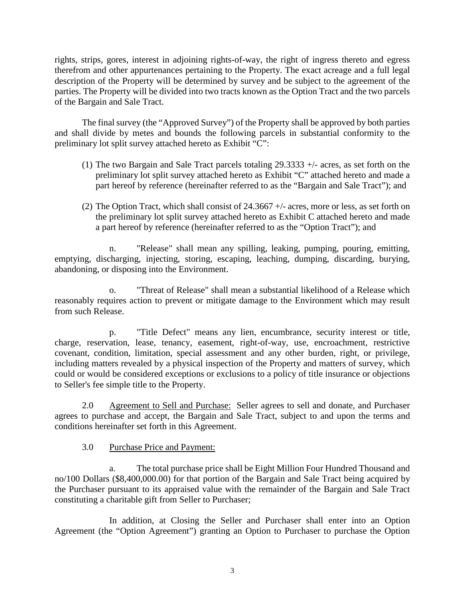rights, strips, gores, interest in adjoining rights-of-way, the right of ingress thereto and egress therefrom and other appurtenances pertaining to the Property. The exact acreage and a full legal description of the Property will be determined by survey and be subject to the agreement of the parties. The Property will be divided into two tracts known as the Option Tract and the two parcels of the Bargain and Sale Tract.

The final survey (the "Approved Survey") of the Property shall be approved by both parties and shall divide by metes and bounds the following parcels in substantial conformity to the preliminary lot split survey attached hereto as Exhibit "C":

- (1) The two Bargain and Sale Tract parcels totaling  $29.3333 + 4$  acres, as set forth on the preliminary lot split survey attached hereto as Exhibit "C" attached hereto and made a part hereof by reference (hereinafter referred to as the "Bargain and Sale Tract"); and
- (2) The Option Tract, which shall consist of 24.3667 +/- acres, more or less, as set forth on the preliminary lot split survey attached hereto as Exhibit C attached hereto and made a part hereof by reference (hereinafter referred to as the "Option Tract"); and

n. "Release" shall mean any spilling, leaking, pumping, pouring, emitting, emptying, discharging, injecting, storing, escaping, leaching, dumping, discarding, burying, abandoning, or disposing into the Environment.

o. "Threat of Release" shall mean a substantial likelihood of a Release which reasonably requires action to prevent or mitigate damage to the Environment which may result from such Release.

p. "Title Defect" means any lien, encumbrance, security interest or title, charge, reservation, lease, tenancy, easement, right-of-way, use, encroachment, restrictive covenant, condition, limitation, special assessment and any other burden, right, or privilege, including matters revealed by a physical inspection of the Property and matters of survey, which could or would be considered exceptions or exclusions to a policy of title insurance or objections to Seller's fee simple title to the Property.

2.0 Agreement to Sell and Purchase: Seller agrees to sell and donate, and Purchaser agrees to purchase and accept, the Bargain and Sale Tract, subject to and upon the terms and conditions hereinafter set forth in this Agreement.

3.0 Purchase Price and Payment:

a. The total purchase price shall be Eight Million Four Hundred Thousand and no/100 Dollars (\$8,400,000.00) for that portion of the Bargain and Sale Tract being acquired by the Purchaser pursuant to its appraised value with the remainder of the Bargain and Sale Tract constituting a charitable gift from Seller to Purchaser;

In addition, at Closing the Seller and Purchaser shall enter into an Option Agreement (the "Option Agreement") granting an Option to Purchaser to purchase the Option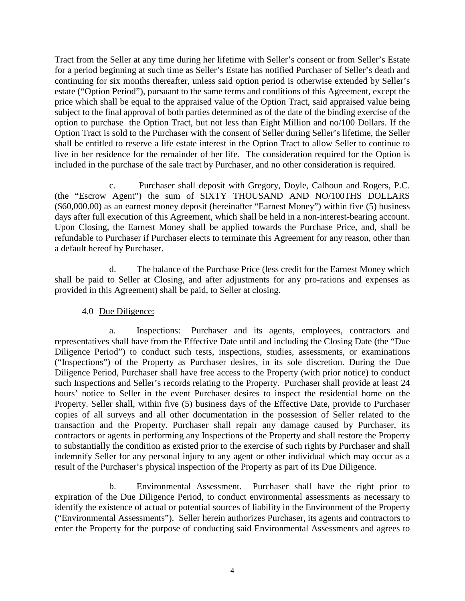Tract from the Seller at any time during her lifetime with Seller's consent or from Seller's Estate for a period beginning at such time as Seller's Estate has notified Purchaser of Seller's death and continuing for six months thereafter, unless said option period is otherwise extended by Seller's estate ("Option Period"), pursuant to the same terms and conditions of this Agreement, except the price which shall be equal to the appraised value of the Option Tract, said appraised value being subject to the final approval of both parties determined as of the date of the binding exercise of the option to purchase the Option Tract, but not less than Eight Million and no/100 Dollars. If the Option Tract is sold to the Purchaser with the consent of Seller during Seller's lifetime, the Seller shall be entitled to reserve a life estate interest in the Option Tract to allow Seller to continue to live in her residence for the remainder of her life. The consideration required for the Option is included in the purchase of the sale tract by Purchaser, and no other consideration is required.

c. Purchaser shall deposit with Gregory, Doyle, Calhoun and Rogers, P.C. (the "Escrow Agent") the sum of SIXTY THOUSAND AND NO/100THS DOLLARS (\$60,000.00) as an earnest money deposit (hereinafter "Earnest Money") within five (5) business days after full execution of this Agreement, which shall be held in a non-interest-bearing account. Upon Closing, the Earnest Money shall be applied towards the Purchase Price, and, shall be refundable to Purchaser if Purchaser elects to terminate this Agreement for any reason, other than a default hereof by Purchaser.

d. The balance of the Purchase Price (less credit for the Earnest Money which shall be paid to Seller at Closing, and after adjustments for any pro-rations and expenses as provided in this Agreement) shall be paid, to Seller at closing.

4.0 Due Diligence:

a. Inspections: Purchaser and its agents, employees, contractors and representatives shall have from the Effective Date until and including the Closing Date (the "Due Diligence Period") to conduct such tests, inspections, studies, assessments, or examinations ("Inspections") of the Property as Purchaser desires, in its sole discretion. During the Due Diligence Period, Purchaser shall have free access to the Property (with prior notice) to conduct such Inspections and Seller's records relating to the Property. Purchaser shall provide at least 24 hours' notice to Seller in the event Purchaser desires to inspect the residential home on the Property. Seller shall, within five (5) business days of the Effective Date, provide to Purchaser copies of all surveys and all other documentation in the possession of Seller related to the transaction and the Property. Purchaser shall repair any damage caused by Purchaser, its contractors or agents in performing any Inspections of the Property and shall restore the Property to substantially the condition as existed prior to the exercise of such rights by Purchaser and shall indemnify Seller for any personal injury to any agent or other individual which may occur as a result of the Purchaser's physical inspection of the Property as part of its Due Diligence.

b. Environmental Assessment. Purchaser shall have the right prior to expiration of the Due Diligence Period, to conduct environmental assessments as necessary to identify the existence of actual or potential sources of liability in the Environment of the Property ("Environmental Assessments"). Seller herein authorizes Purchaser, its agents and contractors to enter the Property for the purpose of conducting said Environmental Assessments and agrees to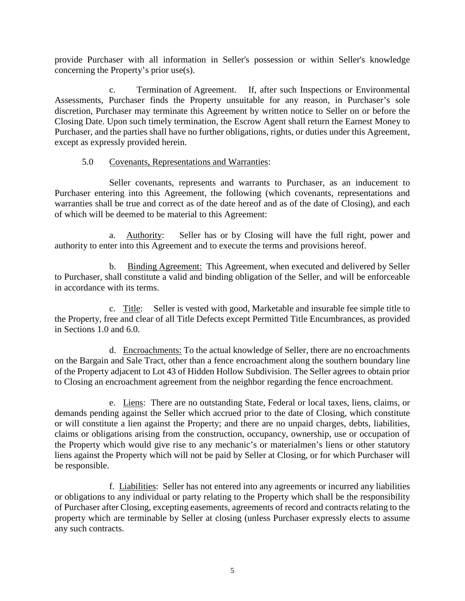provide Purchaser with all information in Seller's possession or within Seller's knowledge concerning the Property's prior use(s).

c. Termination of Agreement. If, after such Inspections or Environmental Assessments, Purchaser finds the Property unsuitable for any reason, in Purchaser's sole discretion, Purchaser may terminate this Agreement by written notice to Seller on or before the Closing Date. Upon such timely termination, the Escrow Agent shall return the Earnest Money to Purchaser, and the parties shall have no further obligations, rights, or duties under this Agreement, except as expressly provided herein.

### 5.0 Covenants, Representations and Warranties:

Seller covenants, represents and warrants to Purchaser, as an inducement to Purchaser entering into this Agreement, the following (which covenants, representations and warranties shall be true and correct as of the date hereof and as of the date of Closing), and each of which will be deemed to be material to this Agreement:

a. Authority: Seller has or by Closing will have the full right, power and authority to enter into this Agreement and to execute the terms and provisions hereof.

b. Binding Agreement: This Agreement, when executed and delivered by Seller to Purchaser, shall constitute a valid and binding obligation of the Seller, and will be enforceable in accordance with its terms.

c. Title: Seller is vested with good, Marketable and insurable fee simple title to the Property, free and clear of all Title Defects except Permitted Title Encumbrances, as provided in Sections 1.0 and 6.0.

d. Encroachments: To the actual knowledge of Seller, there are no encroachments on the Bargain and Sale Tract, other than a fence encroachment along the southern boundary line of the Property adjacent to Lot 43 of Hidden Hollow Subdivision. The Seller agrees to obtain prior to Closing an encroachment agreement from the neighbor regarding the fence encroachment.

e. Liens: There are no outstanding State, Federal or local taxes, liens, claims, or demands pending against the Seller which accrued prior to the date of Closing, which constitute or will constitute a lien against the Property; and there are no unpaid charges, debts, liabilities, claims or obligations arising from the construction, occupancy, ownership, use or occupation of the Property which would give rise to any mechanic's or materialmen's liens or other statutory liens against the Property which will not be paid by Seller at Closing, or for which Purchaser will be responsible.

f. Liabilities: Seller has not entered into any agreements or incurred any liabilities or obligations to any individual or party relating to the Property which shall be the responsibility of Purchaser after Closing, excepting easements, agreements of record and contracts relating to the property which are terminable by Seller at closing (unless Purchaser expressly elects to assume any such contracts.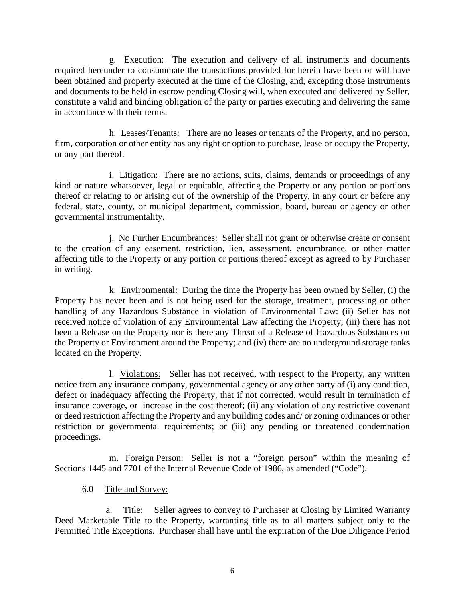g. Execution: The execution and delivery of all instruments and documents required hereunder to consummate the transactions provided for herein have been or will have been obtained and properly executed at the time of the Closing, and, excepting those instruments and documents to be held in escrow pending Closing will, when executed and delivered by Seller, constitute a valid and binding obligation of the party or parties executing and delivering the same in accordance with their terms.

 h. Leases/Tenants: There are no leases or tenants of the Property, and no person, firm, corporation or other entity has any right or option to purchase, lease or occupy the Property, or any part thereof.

i. Litigation: There are no actions, suits, claims, demands or proceedings of any kind or nature whatsoever, legal or equitable, affecting the Property or any portion or portions thereof or relating to or arising out of the ownership of the Property, in any court or before any federal, state, county, or municipal department, commission, board, bureau or agency or other governmental instrumentality.

j. No Further Encumbrances: Seller shall not grant or otherwise create or consent to the creation of any easement, restriction, lien, assessment, encumbrance, or other matter affecting title to the Property or any portion or portions thereof except as agreed to by Purchaser in writing.

k. Environmental: During the time the Property has been owned by Seller, (i) the Property has never been and is not being used for the storage, treatment, processing or other handling of any Hazardous Substance in violation of Environmental Law: (ii) Seller has not received notice of violation of any Environmental Law affecting the Property; (iii) there has not been a Release on the Property nor is there any Threat of a Release of Hazardous Substances on the Property or Environment around the Property; and (iv) there are no underground storage tanks located on the Property.

l. Violations: Seller has not received, with respect to the Property, any written notice from any insurance company, governmental agency or any other party of (i) any condition, defect or inadequacy affecting the Property, that if not corrected, would result in termination of insurance coverage, or increase in the cost thereof; (ii) any violation of any restrictive covenant or deed restriction affecting the Property and any building codes and/ or zoning ordinances or other restriction or governmental requirements; or (iii) any pending or threatened condemnation proceedings.

m. Foreign Person: Seller is not a "foreign person" within the meaning of Sections 1445 and 7701 of the Internal Revenue Code of 1986, as amended ("Code").

6.0 Title and Survey:

a. Title: Seller agrees to convey to Purchaser at Closing by Limited Warranty Deed Marketable Title to the Property, warranting title as to all matters subject only to the Permitted Title Exceptions. Purchaser shall have until the expiration of the Due Diligence Period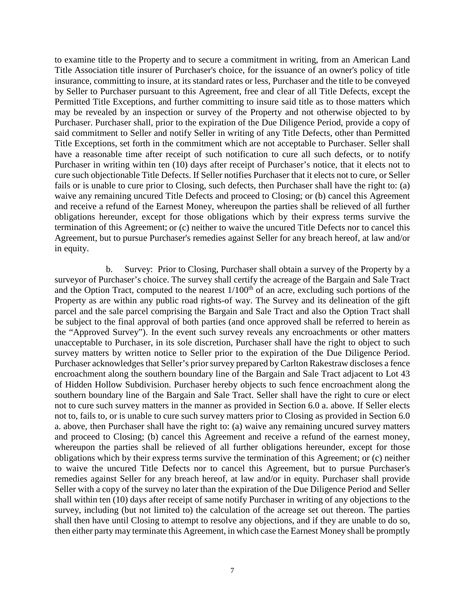to examine title to the Property and to secure a commitment in writing, from an American Land Title Association title insurer of Purchaser's choice, for the issuance of an owner's policy of title insurance, committing to insure, at its standard rates or less, Purchaser and the title to be conveyed by Seller to Purchaser pursuant to this Agreement, free and clear of all Title Defects, except the Permitted Title Exceptions, and further committing to insure said title as to those matters which may be revealed by an inspection or survey of the Property and not otherwise objected to by Purchaser. Purchaser shall, prior to the expiration of the Due Diligence Period, provide a copy of said commitment to Seller and notify Seller in writing of any Title Defects, other than Permitted Title Exceptions, set forth in the commitment which are not acceptable to Purchaser. Seller shall have a reasonable time after receipt of such notification to cure all such defects, or to notify Purchaser in writing within ten (10) days after receipt of Purchaser's notice, that it elects not to cure such objectionable Title Defects. If Seller notifies Purchaser that it elects not to cure, or Seller fails or is unable to cure prior to Closing, such defects, then Purchaser shall have the right to: (a) waive any remaining uncured Title Defects and proceed to Closing; or (b) cancel this Agreement and receive a refund of the Earnest Money, whereupon the parties shall be relieved of all further obligations hereunder, except for those obligations which by their express terms survive the termination of this Agreement; or (c) neither to waive the uncured Title Defects nor to cancel this Agreement, but to pursue Purchaser's remedies against Seller for any breach hereof, at law and/or in equity.

b. Survey: Prior to Closing, Purchaser shall obtain a survey of the Property by a surveyor of Purchaser's choice. The survey shall certify the acreage of the Bargain and Sale Tract and the Option Tract, computed to the nearest  $1/100<sup>th</sup>$  of an acre, excluding such portions of the Property as are within any public road rights-of way. The Survey and its delineation of the gift parcel and the sale parcel comprising the Bargain and Sale Tract and also the Option Tract shall be subject to the final approval of both parties (and once approved shall be referred to herein as the "Approved Survey"). In the event such survey reveals any encroachments or other matters unacceptable to Purchaser, in its sole discretion, Purchaser shall have the right to object to such survey matters by written notice to Seller prior to the expiration of the Due Diligence Period. Purchaser acknowledges that Seller's prior survey prepared by Carlton Rakestraw discloses a fence encroachment along the southern boundary line of the Bargain and Sale Tract adjacent to Lot 43 of Hidden Hollow Subdivision. Purchaser hereby objects to such fence encroachment along the southern boundary line of the Bargain and Sale Tract. Seller shall have the right to cure or elect not to cure such survey matters in the manner as provided in Section 6.0 a. above. If Seller elects not to, fails to, or is unable to cure such survey matters prior to Closing as provided in Section 6.0 a. above, then Purchaser shall have the right to: (a) waive any remaining uncured survey matters and proceed to Closing; (b) cancel this Agreement and receive a refund of the earnest money, whereupon the parties shall be relieved of all further obligations hereunder, except for those obligations which by their express terms survive the termination of this Agreement; or (c) neither to waive the uncured Title Defects nor to cancel this Agreement, but to pursue Purchaser's remedies against Seller for any breach hereof, at law and/or in equity. Purchaser shall provide Seller with a copy of the survey no later than the expiration of the Due Diligence Period and Seller shall within ten (10) days after receipt of same notify Purchaser in writing of any objections to the survey, including (but not limited to) the calculation of the acreage set out thereon. The parties shall then have until Closing to attempt to resolve any objections, and if they are unable to do so, then either party may terminate this Agreement, in which case the Earnest Money shall be promptly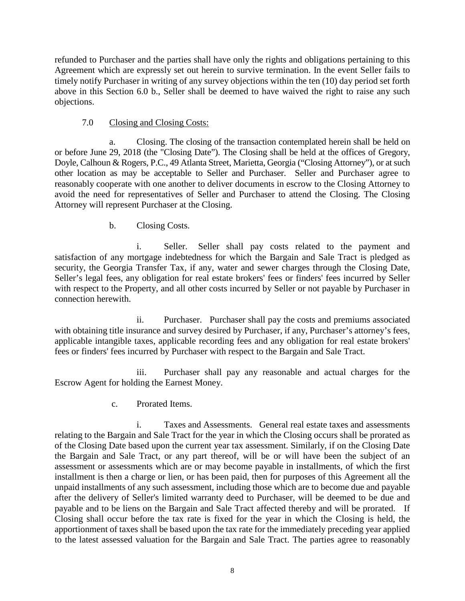refunded to Purchaser and the parties shall have only the rights and obligations pertaining to this Agreement which are expressly set out herein to survive termination. In the event Seller fails to timely notify Purchaser in writing of any survey objections within the ten (10) day period set forth above in this Section 6.0 b., Seller shall be deemed to have waived the right to raise any such objections.

## 7.0 Closing and Closing Costs:

Closing. The closing of the transaction contemplated herein shall be held on or before June 29, 2018 (the "Closing Date"). The Closing shall be held at the offices of Gregory, Doyle, Calhoun & Rogers, P.C., 49 Atlanta Street, Marietta, Georgia ("Closing Attorney"), or at such other location as may be acceptable to Seller and Purchaser. Seller and Purchaser agree to reasonably cooperate with one another to deliver documents in escrow to the Closing Attorney to avoid the need for representatives of Seller and Purchaser to attend the Closing. The Closing Attorney will represent Purchaser at the Closing.

b. Closing Costs.

i. Seller. Seller shall pay costs related to the payment and satisfaction of any mortgage indebtedness for which the Bargain and Sale Tract is pledged as security, the Georgia Transfer Tax, if any, water and sewer charges through the Closing Date, Seller's legal fees, any obligation for real estate brokers' fees or finders' fees incurred by Seller with respect to the Property, and all other costs incurred by Seller or not payable by Purchaser in connection herewith.

ii. Purchaser. Purchaser shall pay the costs and premiums associated with obtaining title insurance and survey desired by Purchaser, if any, Purchaser's attorney's fees, applicable intangible taxes, applicable recording fees and any obligation for real estate brokers' fees or finders' fees incurred by Purchaser with respect to the Bargain and Sale Tract.

iii. Purchaser shall pay any reasonable and actual charges for the Escrow Agent for holding the Earnest Money.

c. Prorated Items.

i. Taxes and Assessments. General real estate taxes and assessments relating to the Bargain and Sale Tract for the year in which the Closing occurs shall be prorated as of the Closing Date based upon the current year tax assessment. Similarly, if on the Closing Date the Bargain and Sale Tract, or any part thereof, will be or will have been the subject of an assessment or assessments which are or may become payable in installments, of which the first installment is then a charge or lien, or has been paid, then for purposes of this Agreement all the unpaid installments of any such assessment, including those which are to become due and payable after the delivery of Seller's limited warranty deed to Purchaser, will be deemed to be due and payable and to be liens on the Bargain and Sale Tract affected thereby and will be prorated. If Closing shall occur before the tax rate is fixed for the year in which the Closing is held, the apportionment of taxes shall be based upon the tax rate for the immediately preceding year applied to the latest assessed valuation for the Bargain and Sale Tract. The parties agree to reasonably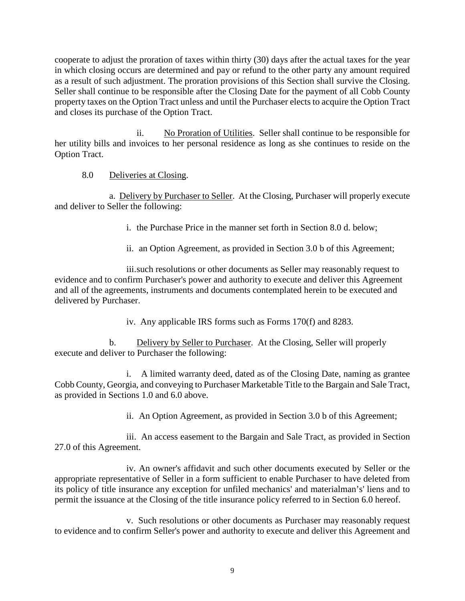cooperate to adjust the proration of taxes within thirty (30) days after the actual taxes for the year in which closing occurs are determined and pay or refund to the other party any amount required as a result of such adjustment. The proration provisions of this Section shall survive the Closing. Seller shall continue to be responsible after the Closing Date for the payment of all Cobb County property taxes on the Option Tract unless and until the Purchaser elects to acquire the Option Tract and closes its purchase of the Option Tract.

ii. No Proration of Utilities. Seller shall continue to be responsible for her utility bills and invoices to her personal residence as long as she continues to reside on the Option Tract.

8.0 Deliveries at Closing.

a. Delivery by Purchaser to Seller. At the Closing, Purchaser will properly execute and deliver to Seller the following:

i. the Purchase Price in the manner set forth in Section 8.0 d. below;

ii. an Option Agreement, as provided in Section 3.0 b of this Agreement;

iii.such resolutions or other documents as Seller may reasonably request to evidence and to confirm Purchaser's power and authority to execute and deliver this Agreement and all of the agreements, instruments and documents contemplated herein to be executed and delivered by Purchaser.

iv. Any applicable IRS forms such as Forms 170(f) and 8283.

b. Delivery by Seller to Purchaser. At the Closing, Seller will properly execute and deliver to Purchaser the following:

i. A limited warranty deed, dated as of the Closing Date, naming as grantee Cobb County, Georgia, and conveying to Purchaser Marketable Title to the Bargain and Sale Tract, as provided in Sections 1.0 and 6.0 above.

ii. An Option Agreement, as provided in Section 3.0 b of this Agreement;

iii. An access easement to the Bargain and Sale Tract, as provided in Section 27.0 of this Agreement.

iv. An owner's affidavit and such other documents executed by Seller or the appropriate representative of Seller in a form sufficient to enable Purchaser to have deleted from its policy of title insurance any exception for unfiled mechanics' and materialman's' liens and to permit the issuance at the Closing of the title insurance policy referred to in Section 6.0 hereof.

v. Such resolutions or other documents as Purchaser may reasonably request to evidence and to confirm Seller's power and authority to execute and deliver this Agreement and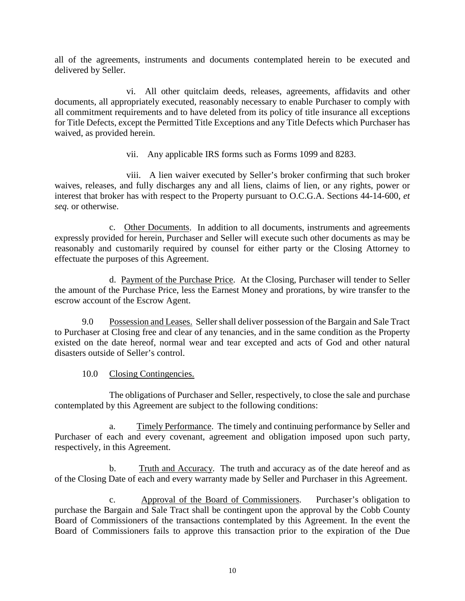all of the agreements, instruments and documents contemplated herein to be executed and delivered by Seller.

vi. All other quitclaim deeds, releases, agreements, affidavits and other documents, all appropriately executed, reasonably necessary to enable Purchaser to comply with all commitment requirements and to have deleted from its policy of title insurance all exceptions for Title Defects, except the Permitted Title Exceptions and any Title Defects which Purchaser has waived, as provided herein.

vii. Any applicable IRS forms such as Forms 1099 and 8283.

viii. A lien waiver executed by Seller's broker confirming that such broker waives, releases, and fully discharges any and all liens, claims of lien, or any rights, power or interest that broker has with respect to the Property pursuant to O.C.G.A. Sections 44-14-600, *et seq.* or otherwise.

c. Other Documents. In addition to all documents, instruments and agreements expressly provided for herein, Purchaser and Seller will execute such other documents as may be reasonably and customarily required by counsel for either party or the Closing Attorney to effectuate the purposes of this Agreement.

d. Payment of the Purchase Price. At the Closing, Purchaser will tender to Seller the amount of the Purchase Price, less the Earnest Money and prorations, by wire transfer to the escrow account of the Escrow Agent.

9.0 Possession and Leases. Seller shall deliver possession of the Bargain and Sale Tract to Purchaser at Closing free and clear of any tenancies, and in the same condition as the Property existed on the date hereof, normal wear and tear excepted and acts of God and other natural disasters outside of Seller's control.

10.0 Closing Contingencies.

The obligations of Purchaser and Seller, respectively, to close the sale and purchase contemplated by this Agreement are subject to the following conditions:

a. Timely Performance. The timely and continuing performance by Seller and Purchaser of each and every covenant, agreement and obligation imposed upon such party, respectively, in this Agreement.

b. Truth and Accuracy. The truth and accuracy as of the date hereof and as of the Closing Date of each and every warranty made by Seller and Purchaser in this Agreement.

c. Approval of the Board of Commissioners. Purchaser's obligation to purchase the Bargain and Sale Tract shall be contingent upon the approval by the Cobb County Board of Commissioners of the transactions contemplated by this Agreement. In the event the Board of Commissioners fails to approve this transaction prior to the expiration of the Due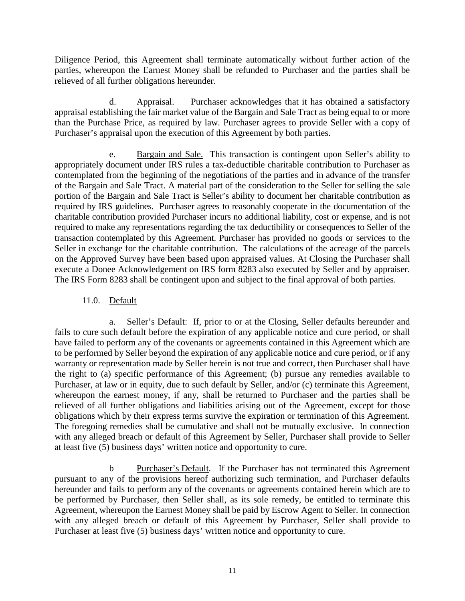Diligence Period, this Agreement shall terminate automatically without further action of the parties, whereupon the Earnest Money shall be refunded to Purchaser and the parties shall be relieved of all further obligations hereunder.

d. Appraisal. Purchaser acknowledges that it has obtained a satisfactory appraisal establishing the fair market value of the Bargain and Sale Tract as being equal to or more than the Purchase Price, as required by law. Purchaser agrees to provide Seller with a copy of Purchaser's appraisal upon the execution of this Agreement by both parties.

e. Bargain and Sale. This transaction is contingent upon Seller's ability to appropriately document under IRS rules a tax-deductible charitable contribution to Purchaser as contemplated from the beginning of the negotiations of the parties and in advance of the transfer of the Bargain and Sale Tract. A material part of the consideration to the Seller for selling the sale portion of the Bargain and Sale Tract is Seller's ability to document her charitable contribution as required by IRS guidelines. Purchaser agrees to reasonably cooperate in the documentation of the charitable contribution provided Purchaser incurs no additional liability, cost or expense, and is not required to make any representations regarding the tax deductibility or consequences to Seller of the transaction contemplated by this Agreement. Purchaser has provided no goods or services to the Seller in exchange for the charitable contribution. The calculations of the acreage of the parcels on the Approved Survey have been based upon appraised values. At Closing the Purchaser shall execute a Donee Acknowledgement on IRS form 8283 also executed by Seller and by appraiser. The IRS Form 8283 shall be contingent upon and subject to the final approval of both parties.

## 11.0. Default

a. Seller's Default: If, prior to or at the Closing, Seller defaults hereunder and fails to cure such default before the expiration of any applicable notice and cure period, or shall have failed to perform any of the covenants or agreements contained in this Agreement which are to be performed by Seller beyond the expiration of any applicable notice and cure period, or if any warranty or representation made by Seller herein is not true and correct, then Purchaser shall have the right to (a) specific performance of this Agreement; (b) pursue any remedies available to Purchaser, at law or in equity, due to such default by Seller, and/or (c) terminate this Agreement, whereupon the earnest money, if any, shall be returned to Purchaser and the parties shall be relieved of all further obligations and liabilities arising out of the Agreement, except for those obligations which by their express terms survive the expiration or termination of this Agreement. The foregoing remedies shall be cumulative and shall not be mutually exclusive. In connection with any alleged breach or default of this Agreement by Seller, Purchaser shall provide to Seller at least five (5) business days' written notice and opportunity to cure.

b Purchaser's Default. If the Purchaser has not terminated this Agreement pursuant to any of the provisions hereof authorizing such termination, and Purchaser defaults hereunder and fails to perform any of the covenants or agreements contained herein which are to be performed by Purchaser, then Seller shall, as its sole remedy, be entitled to terminate this Agreement, whereupon the Earnest Money shall be paid by Escrow Agent to Seller. In connection with any alleged breach or default of this Agreement by Purchaser, Seller shall provide to Purchaser at least five (5) business days' written notice and opportunity to cure.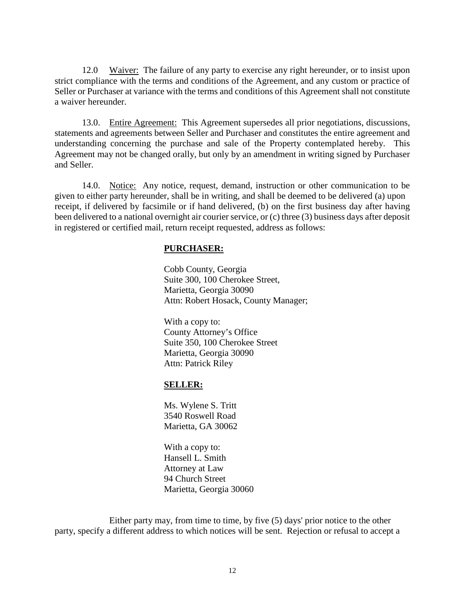12.0 Waiver: The failure of any party to exercise any right hereunder, or to insist upon strict compliance with the terms and conditions of the Agreement, and any custom or practice of Seller or Purchaser at variance with the terms and conditions of this Agreement shall not constitute a waiver hereunder.

13.0. Entire Agreement: This Agreement supersedes all prior negotiations, discussions, statements and agreements between Seller and Purchaser and constitutes the entire agreement and understanding concerning the purchase and sale of the Property contemplated hereby. This Agreement may not be changed orally, but only by an amendment in writing signed by Purchaser and Seller.

14.0. Notice: Any notice, request, demand, instruction or other communication to be given to either party hereunder, shall be in writing, and shall be deemed to be delivered (a) upon receipt, if delivered by facsimile or if hand delivered, (b) on the first business day after having been delivered to a national overnight air courier service, or (c) three (3) business days after deposit in registered or certified mail, return receipt requested, address as follows:

#### **PURCHASER:**

Cobb County, Georgia Suite 300, 100 Cherokee Street, Marietta, Georgia 30090 Attn: Robert Hosack, County Manager;

With a copy to: County Attorney's Office Suite 350, 100 Cherokee Street Marietta, Georgia 30090 Attn: Patrick Riley

#### **SELLER:**

Ms. Wylene S. Tritt 3540 Roswell Road Marietta, GA 30062

With a copy to: Hansell L. Smith Attorney at Law 94 Church Street Marietta, Georgia 30060

Either party may, from time to time, by five (5) days' prior notice to the other party, specify a different address to which notices will be sent. Rejection or refusal to accept a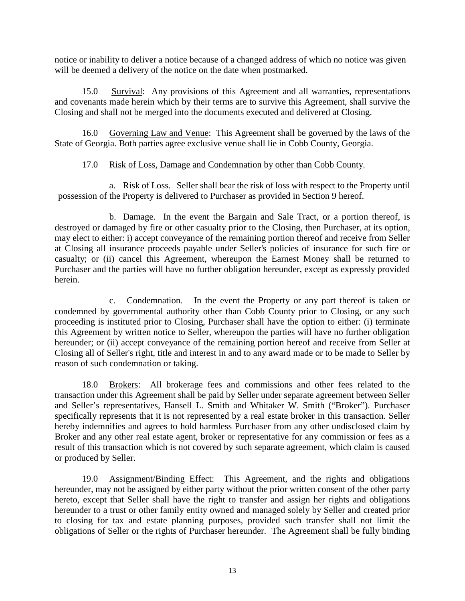notice or inability to deliver a notice because of a changed address of which no notice was given will be deemed a delivery of the notice on the date when postmarked.

15.0 Survival: Any provisions of this Agreement and all warranties, representations and covenants made herein which by their terms are to survive this Agreement, shall survive the Closing and shall not be merged into the documents executed and delivered at Closing.

16.0 Governing Law and Venue: This Agreement shall be governed by the laws of the State of Georgia. Both parties agree exclusive venue shall lie in Cobb County, Georgia.

### 17.0 Risk of Loss, Damage and Condemnation by other than Cobb County.

a. Risk of Loss. Seller shall bear the risk of loss with respect to the Property until possession of the Property is delivered to Purchaser as provided in Section 9 hereof.

b. Damage. In the event the Bargain and Sale Tract, or a portion thereof, is destroyed or damaged by fire or other casualty prior to the Closing, then Purchaser, at its option, may elect to either: i) accept conveyance of the remaining portion thereof and receive from Seller at Closing all insurance proceeds payable under Seller's policies of insurance for such fire or casualty; or (ii) cancel this Agreement, whereupon the Earnest Money shall be returned to Purchaser and the parties will have no further obligation hereunder, except as expressly provided herein.

c. Condemnation*.* In the event the Property or any part thereof is taken or condemned by governmental authority other than Cobb County prior to Closing, or any such proceeding is instituted prior to Closing, Purchaser shall have the option to either: (i) terminate this Agreement by written notice to Seller, whereupon the parties will have no further obligation hereunder; or (ii) accept conveyance of the remaining portion hereof and receive from Seller at Closing all of Seller's right, title and interest in and to any award made or to be made to Seller by reason of such condemnation or taking.

18.0 Brokers: All brokerage fees and commissions and other fees related to the transaction under this Agreement shall be paid by Seller under separate agreement between Seller and Seller's representatives, Hansell L. Smith and Whitaker W. Smith ("Broker"). Purchaser specifically represents that it is not represented by a real estate broker in this transaction. Seller hereby indemnifies and agrees to hold harmless Purchaser from any other undisclosed claim by Broker and any other real estate agent, broker or representative for any commission or fees as a result of this transaction which is not covered by such separate agreement, which claim is caused or produced by Seller.

19.0 Assignment/Binding Effect: This Agreement, and the rights and obligations hereunder, may not be assigned by either party without the prior written consent of the other party hereto, except that Seller shall have the right to transfer and assign her rights and obligations hereunder to a trust or other family entity owned and managed solely by Seller and created prior to closing for tax and estate planning purposes, provided such transfer shall not limit the obligations of Seller or the rights of Purchaser hereunder. The Agreement shall be fully binding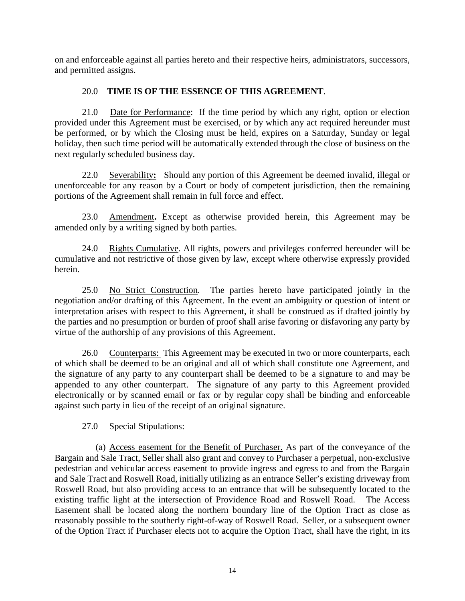on and enforceable against all parties hereto and their respective heirs, administrators, successors, and permitted assigns.

## 20.0 **TIME IS OF THE ESSENCE OF THIS AGREEMENT**.

21.0 Date for Performance: If the time period by which any right, option or election provided under this Agreement must be exercised, or by which any act required hereunder must be performed, or by which the Closing must be held, expires on a Saturday, Sunday or legal holiday, then such time period will be automatically extended through the close of business on the next regularly scheduled business day.

22.0 Severability**:** Should any portion of this Agreement be deemed invalid, illegal or unenforceable for any reason by a Court or body of competent jurisdiction, then the remaining portions of the Agreement shall remain in full force and effect.

23.0 Amendment**.** Except as otherwise provided herein, this Agreement may be amended only by a writing signed by both parties.

24.0 Rights Cumulative. All rights, powers and privileges conferred hereunder will be cumulative and not restrictive of those given by law, except where otherwise expressly provided herein.

25.0 No Strict Construction. The parties hereto have participated jointly in the negotiation and/or drafting of this Agreement. In the event an ambiguity or question of intent or interpretation arises with respect to this Agreement, it shall be construed as if drafted jointly by the parties and no presumption or burden of proof shall arise favoring or disfavoring any party by virtue of the authorship of any provisions of this Agreement.

26.0 Counterparts: This Agreement may be executed in two or more counterparts, each of which shall be deemed to be an original and all of which shall constitute one Agreement, and the signature of any party to any counterpart shall be deemed to be a signature to and may be appended to any other counterpart. The signature of any party to this Agreement provided electronically or by scanned email or fax or by regular copy shall be binding and enforceable against such party in lieu of the receipt of an original signature.

27.0 Special Stipulations:

(a) Access easement for the Benefit of Purchaser. As part of the conveyance of the Bargain and Sale Tract, Seller shall also grant and convey to Purchaser a perpetual, non-exclusive pedestrian and vehicular access easement to provide ingress and egress to and from the Bargain and Sale Tract and Roswell Road, initially utilizing as an entrance Seller's existing driveway from Roswell Road, but also providing access to an entrance that will be subsequently located to the existing traffic light at the intersection of Providence Road and Roswell Road. The Access Easement shall be located along the northern boundary line of the Option Tract as close as reasonably possible to the southerly right-of-way of Roswell Road. Seller, or a subsequent owner of the Option Tract if Purchaser elects not to acquire the Option Tract, shall have the right, in its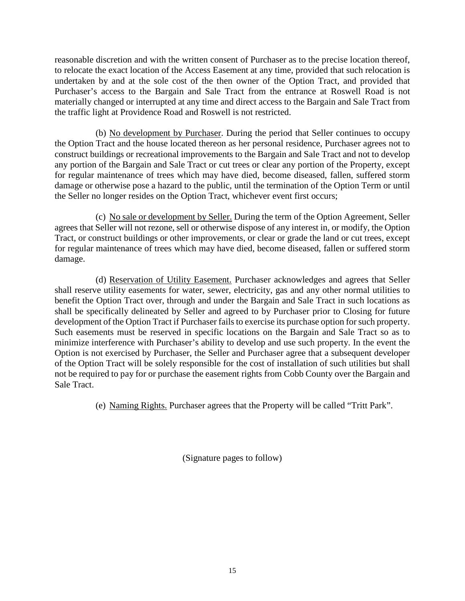reasonable discretion and with the written consent of Purchaser as to the precise location thereof, to relocate the exact location of the Access Easement at any time, provided that such relocation is undertaken by and at the sole cost of the then owner of the Option Tract, and provided that Purchaser's access to the Bargain and Sale Tract from the entrance at Roswell Road is not materially changed or interrupted at any time and direct access to the Bargain and Sale Tract from the traffic light at Providence Road and Roswell is not restricted.

(b) No development by Purchaser. During the period that Seller continues to occupy the Option Tract and the house located thereon as her personal residence, Purchaser agrees not to construct buildings or recreational improvements to the Bargain and Sale Tract and not to develop any portion of the Bargain and Sale Tract or cut trees or clear any portion of the Property, except for regular maintenance of trees which may have died, become diseased, fallen, suffered storm damage or otherwise pose a hazard to the public, until the termination of the Option Term or until the Seller no longer resides on the Option Tract, whichever event first occurs;

(c) No sale or development by Seller. During the term of the Option Agreement, Seller agrees that Seller will not rezone, sell or otherwise dispose of any interest in, or modify, the Option Tract, or construct buildings or other improvements, or clear or grade the land or cut trees, except for regular maintenance of trees which may have died, become diseased, fallen or suffered storm damage.

(d) Reservation of Utility Easement. Purchaser acknowledges and agrees that Seller shall reserve utility easements for water, sewer, electricity, gas and any other normal utilities to benefit the Option Tract over, through and under the Bargain and Sale Tract in such locations as shall be specifically delineated by Seller and agreed to by Purchaser prior to Closing for future development of the Option Tract if Purchaser fails to exercise its purchase option for such property. Such easements must be reserved in specific locations on the Bargain and Sale Tract so as to minimize interference with Purchaser's ability to develop and use such property. In the event the Option is not exercised by Purchaser, the Seller and Purchaser agree that a subsequent developer of the Option Tract will be solely responsible for the cost of installation of such utilities but shall not be required to pay for or purchase the easement rights from Cobb County over the Bargain and Sale Tract.

(e) Naming Rights. Purchaser agrees that the Property will be called "Tritt Park".

(Signature pages to follow)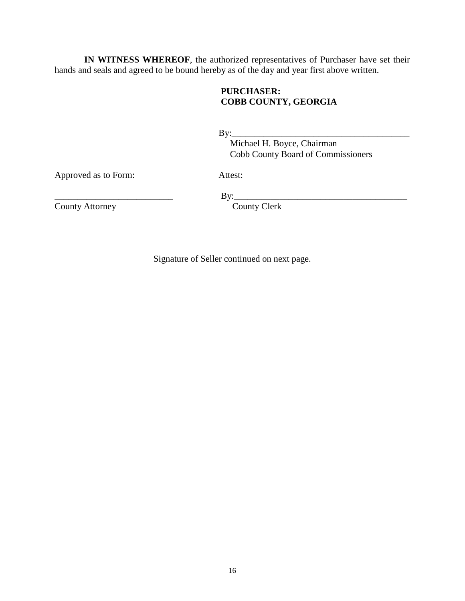**IN WITNESS WHEREOF**, the authorized representatives of Purchaser have set their hands and seals and agreed to be bound hereby as of the day and year first above written.

## **PURCHASER: COBB COUNTY, GEORGIA**

 $\mathbf{By:}\qquad \qquad$ 

 Michael H. Boyce, Chairman Cobb County Board of Commissioners

Approved as to Form: Attest:

County Attorney

\_\_\_\_\_\_\_\_\_\_\_\_\_\_\_\_\_\_\_\_\_\_\_\_\_\_ By:\_\_\_\_\_\_\_\_\_\_\_\_\_\_\_\_\_\_\_\_\_\_\_\_\_\_\_\_\_\_\_\_\_\_\_\_\_\_

Signature of Seller continued on next page.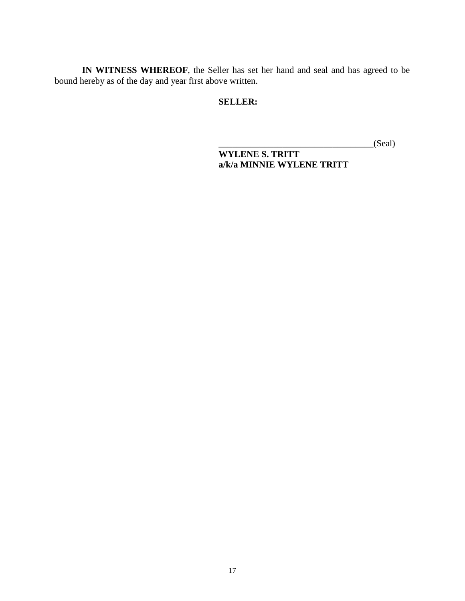**IN WITNESS WHEREOF**, the Seller has set her hand and seal and has agreed to be bound hereby as of the day and year first above written.

## **SELLER:**

 $_C(Scal)$ 

**WYLENE S. TRITT a/k/a MINNIE WYLENE TRITT**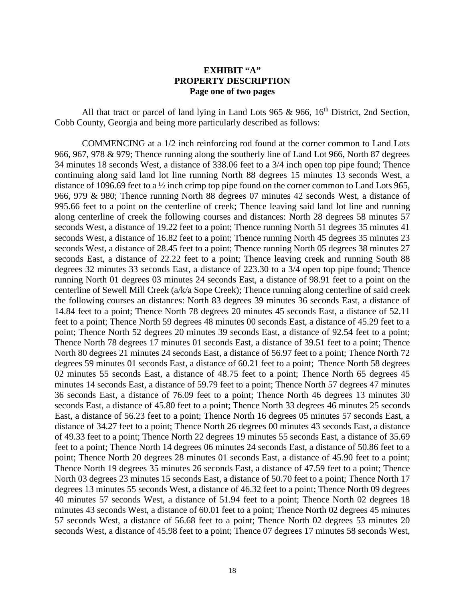#### **EXHIBIT "A" PROPERTY DESCRIPTION Page one of two pages**

All that tract or parcel of land lying in Land Lots 965  $\&$  966, 16<sup>th</sup> District, 2nd Section, Cobb County, Georgia and being more particularly described as follows:

COMMENCING at a 1/2 inch reinforcing rod found at the corner common to Land Lots 966, 967, 978 & 979; Thence running along the southerly line of Land Lot 966, North 87 degrees 34 minutes 18 seconds West, a distance of 338.06 feet to a 3/4 inch open top pipe found; Thence continuing along said land lot line running North 88 degrees 15 minutes 13 seconds West, a distance of 1096.69 feet to a ½ inch crimp top pipe found on the corner common to Land Lots 965, 966, 979 & 980; Thence running North 88 degrees 07 minutes 42 seconds West, a distance of 995.66 feet to a point on the centerline of creek; Thence leaving said land lot line and running along centerline of creek the following courses and distances: North 28 degrees 58 minutes 57 seconds West, a distance of 19.22 feet to a point; Thence running North 51 degrees 35 minutes 41 seconds West, a distance of 16.82 feet to a point; Thence running North 45 degrees 35 minutes 23 seconds West, a distance of 28.45 feet to a point; Thence running North 05 degrees 38 minutes 27 seconds East, a distance of 22.22 feet to a point; Thence leaving creek and running South 88 degrees 32 minutes 33 seconds East, a distance of 223.30 to a 3/4 open top pipe found; Thence running North 01 degrees 03 minutes 24 seconds East, a distance of 98.91 feet to a point on the centerline of Sewell Mill Creek (a/k/a Sope Creek); Thence running along centerline of said creek the following courses an distances: North 83 degrees 39 minutes 36 seconds East, a distance of 14.84 feet to a point; Thence North 78 degrees 20 minutes 45 seconds East, a distance of 52.11 feet to a point; Thence North 59 degrees 48 minutes 00 seconds East, a distance of 45.29 feet to a point; Thence North 52 degrees 20 minutes 39 seconds East, a distance of 92.54 feet to a point; Thence North 78 degrees 17 minutes 01 seconds East, a distance of 39.51 feet to a point; Thence North 80 degrees 21 minutes 24 seconds East, a distance of 56.97 feet to a point; Thence North 72 degrees 59 minutes 01 seconds East, a distance of 60.21 feet to a point; Thence North 58 degrees 02 minutes 55 seconds East, a distance of 48.75 feet to a point; Thence North 65 degrees 45 minutes 14 seconds East, a distance of 59.79 feet to a point; Thence North 57 degrees 47 minutes 36 seconds East, a distance of 76.09 feet to a point; Thence North 46 degrees 13 minutes 30 seconds East, a distance of 45.80 feet to a point; Thence North 33 degrees 46 minutes 25 seconds East, a distance of 56.23 feet to a point; Thence North 16 degrees 05 minutes 57 seconds East, a distance of 34.27 feet to a point; Thence North 26 degrees 00 minutes 43 seconds East, a distance of 49.33 feet to a point; Thence North 22 degrees 19 minutes 55 seconds East, a distance of 35.69 feet to a point; Thence North 14 degrees 06 minutes 24 seconds East, a distance of 50.86 feet to a point; Thence North 20 degrees 28 minutes 01 seconds East, a distance of 45.90 feet to a point; Thence North 19 degrees 35 minutes 26 seconds East, a distance of 47.59 feet to a point; Thence North 03 degrees 23 minutes 15 seconds East, a distance of 50.70 feet to a point; Thence North 17 degrees 13 minutes 55 seconds West, a distance of 46.32 feet to a point; Thence North 09 degrees 40 minutes 57 seconds West, a distance of 51.94 feet to a point; Thence North 02 degrees 18 minutes 43 seconds West, a distance of 60.01 feet to a point; Thence North 02 degrees 45 minutes 57 seconds West, a distance of 56.68 feet to a point; Thence North 02 degrees 53 minutes 20 seconds West, a distance of 45.98 feet to a point; Thence 07 degrees 17 minutes 58 seconds West,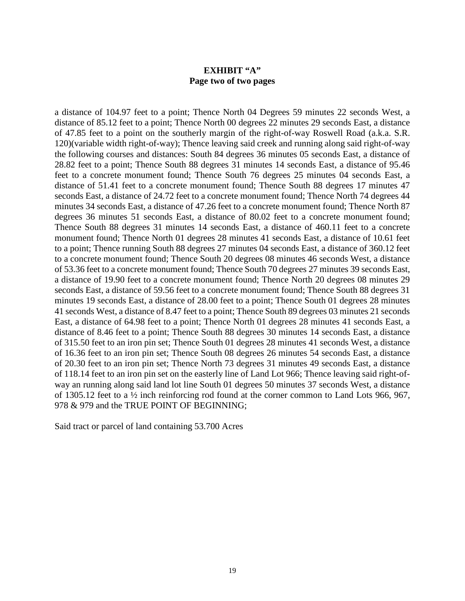### **EXHIBIT "A" Page two of two pages**

a distance of 104.97 feet to a point; Thence North 04 Degrees 59 minutes 22 seconds West, a distance of 85.12 feet to a point; Thence North 00 degrees 22 minutes 29 seconds East, a distance of 47.85 feet to a point on the southerly margin of the right-of-way Roswell Road (a.k.a. S.R. 120)(variable width right-of-way); Thence leaving said creek and running along said right-of-way the following courses and distances: South 84 degrees 36 minutes 05 seconds East, a distance of 28.82 feet to a point; Thence South 88 degrees 31 minutes 14 seconds East, a distance of 95.46 feet to a concrete monument found; Thence South 76 degrees 25 minutes 04 seconds East, a distance of 51.41 feet to a concrete monument found; Thence South 88 degrees 17 minutes 47 seconds East, a distance of 24.72 feet to a concrete monument found; Thence North 74 degrees 44 minutes 34 seconds East, a distance of 47.26 feet to a concrete monument found; Thence North 87 degrees 36 minutes 51 seconds East, a distance of 80.02 feet to a concrete monument found; Thence South 88 degrees 31 minutes 14 seconds East, a distance of 460.11 feet to a concrete monument found; Thence North 01 degrees 28 minutes 41 seconds East, a distance of 10.61 feet to a point; Thence running South 88 degrees 27 minutes 04 seconds East, a distance of 360.12 feet to a concrete monument found; Thence South 20 degrees 08 minutes 46 seconds West, a distance of 53.36 feet to a concrete monument found; Thence South 70 degrees 27 minutes 39 seconds East, a distance of 19.90 feet to a concrete monument found; Thence North 20 degrees 08 minutes 29 seconds East, a distance of 59.56 feet to a concrete monument found; Thence South 88 degrees 31 minutes 19 seconds East, a distance of 28.00 feet to a point; Thence South 01 degrees 28 minutes 41 seconds West, a distance of 8.47 feet to a point; Thence South 89 degrees 03 minutes 21 seconds East, a distance of 64.98 feet to a point; Thence North 01 degrees 28 minutes 41 seconds East, a distance of 8.46 feet to a point; Thence South 88 degrees 30 minutes 14 seconds East, a distance of 315.50 feet to an iron pin set; Thence South 01 degrees 28 minutes 41 seconds West, a distance of 16.36 feet to an iron pin set; Thence South 08 degrees 26 minutes 54 seconds East, a distance of 20.30 feet to an iron pin set; Thence North 73 degrees 31 minutes 49 seconds East, a distance of 118.14 feet to an iron pin set on the easterly line of Land Lot 966; Thence leaving said right-ofway an running along said land lot line South 01 degrees 50 minutes 37 seconds West, a distance of 1305.12 feet to a ½ inch reinforcing rod found at the corner common to Land Lots 966, 967, 978 & 979 and the TRUE POINT OF BEGINNING;

Said tract or parcel of land containing 53.700 Acres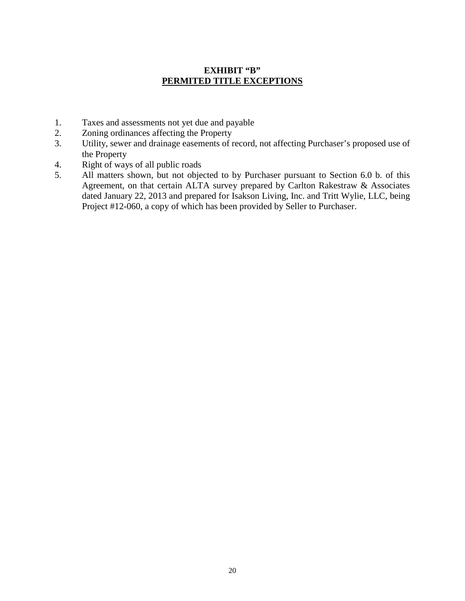## **EXHIBIT "B" PERMITED TITLE EXCEPTIONS**

- 1. Taxes and assessments not yet due and payable
- 2. Zoning ordinances affecting the Property
- 3. Utility, sewer and drainage easements of record, not affecting Purchaser's proposed use of the Property
- 4. Right of ways of all public roads
- 5. All matters shown, but not objected to by Purchaser pursuant to Section 6.0 b. of this Agreement, on that certain ALTA survey prepared by Carlton Rakestraw & Associates dated January 22, 2013 and prepared for Isakson Living, Inc. and Tritt Wylie, LLC, being Project #12-060, a copy of which has been provided by Seller to Purchaser.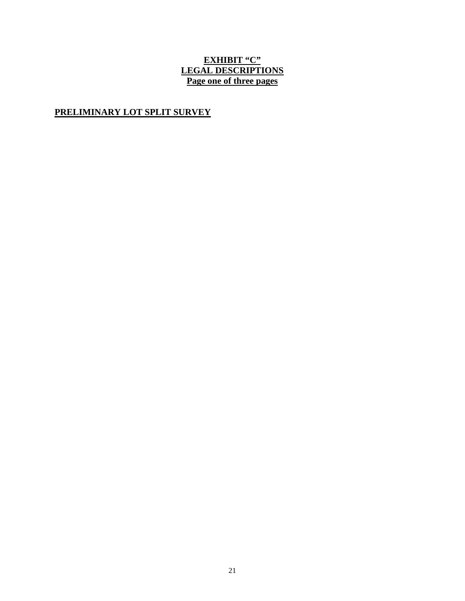# **EXHIBIT "C" LEGAL DESCRIPTIONS Page one of three pages**

# **PRELIMINARY LOT SPLIT SURVEY**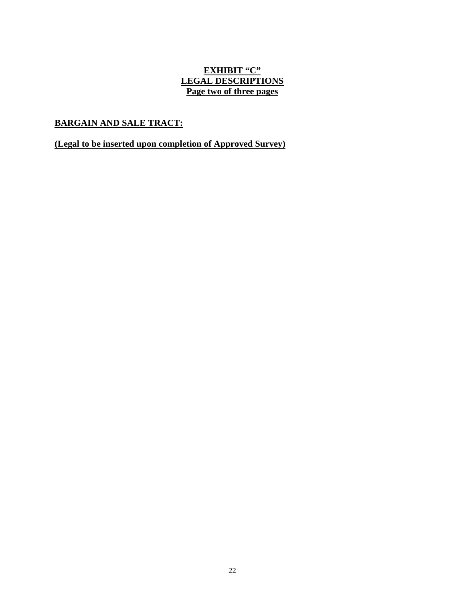## **EXHIBIT "C" LEGAL DESCRIPTIONS Page two of three pages**

# **BARGAIN AND SALE TRACT:**

## **(Legal to be inserted upon completion of Approved Survey)**